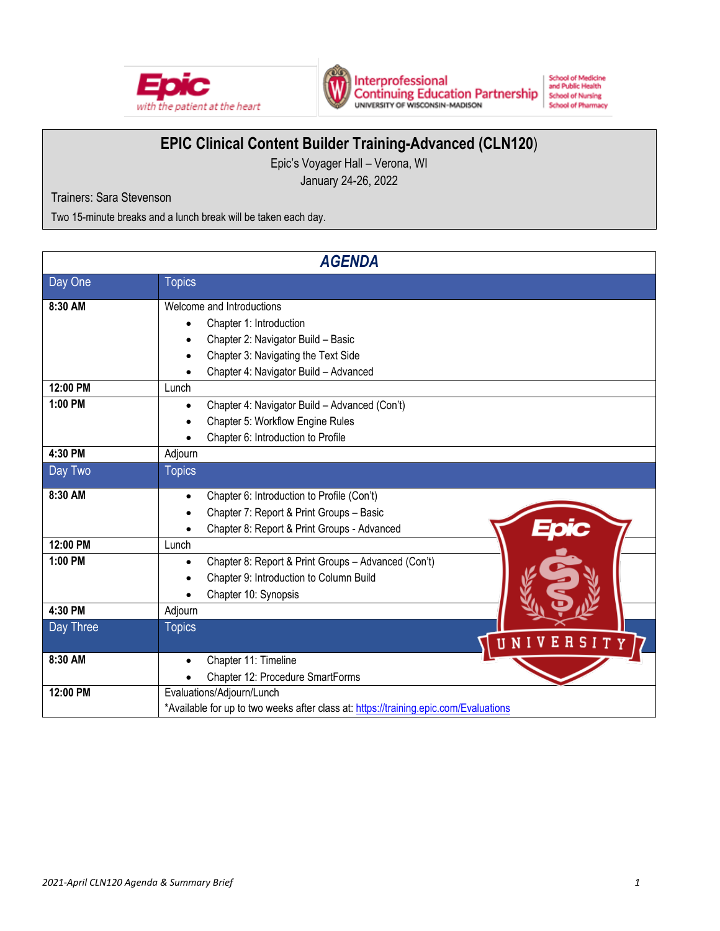



Interprofessional<br>Continuing Education Partnership<br>UNIVERSITY OF WISCONSIN-MADISON

**School of Medicine**<br>and Public Health **School of Nursing School of Pharmacy** 

# **EPIC Clinical Content Builder Training-Advanced (CLN120**)

Epic's Voyager Hall – Verona, WI

January 24-26, 2022

Trainers: Sara Stevenson

Two 15-minute breaks and a lunch break will be taken each day.

| <b>AGENDA</b> |                                                                                                                                                                            |  |  |  |  |
|---------------|----------------------------------------------------------------------------------------------------------------------------------------------------------------------------|--|--|--|--|
| Day One       | <b>Topics</b>                                                                                                                                                              |  |  |  |  |
| 8:30 AM       | Welcome and Introductions<br>Chapter 1: Introduction<br>Chapter 2: Navigator Build - Basic<br>Chapter 3: Navigating the Text Side<br>Chapter 4: Navigator Build - Advanced |  |  |  |  |
| 12:00 PM      | Lunch                                                                                                                                                                      |  |  |  |  |
| 1:00 PM       | Chapter 4: Navigator Build - Advanced (Con't)<br>Chapter 5: Workflow Engine Rules<br>Chapter 6: Introduction to Profile                                                    |  |  |  |  |
| 4:30 PM       | Adjourn                                                                                                                                                                    |  |  |  |  |
| Day Two       | <b>Topics</b>                                                                                                                                                              |  |  |  |  |
| 8:30 AM       | Chapter 6: Introduction to Profile (Con't)<br>$\bullet$<br>Chapter 7: Report & Print Groups - Basic<br>Chapter 8: Report & Print Groups - Advanced                         |  |  |  |  |
| 12:00 PM      | Lunch                                                                                                                                                                      |  |  |  |  |
| 1:00 PM       | Chapter 8: Report & Print Groups - Advanced (Con't)<br>Chapter 9: Introduction to Column Build<br>Chapter 10: Synopsis                                                     |  |  |  |  |
| 4:30 PM       | Adjourn                                                                                                                                                                    |  |  |  |  |
| Day Three     | <b>Topics</b><br>UNIVERSITY                                                                                                                                                |  |  |  |  |
| 8:30 AM       | Chapter 11: Timeline<br>Chapter 12: Procedure SmartForms                                                                                                                   |  |  |  |  |
| 12:00 PM      | Evaluations/Adjourn/Lunch<br>*Available for up to two weeks after class at: https://training.epic.com/Evaluations                                                          |  |  |  |  |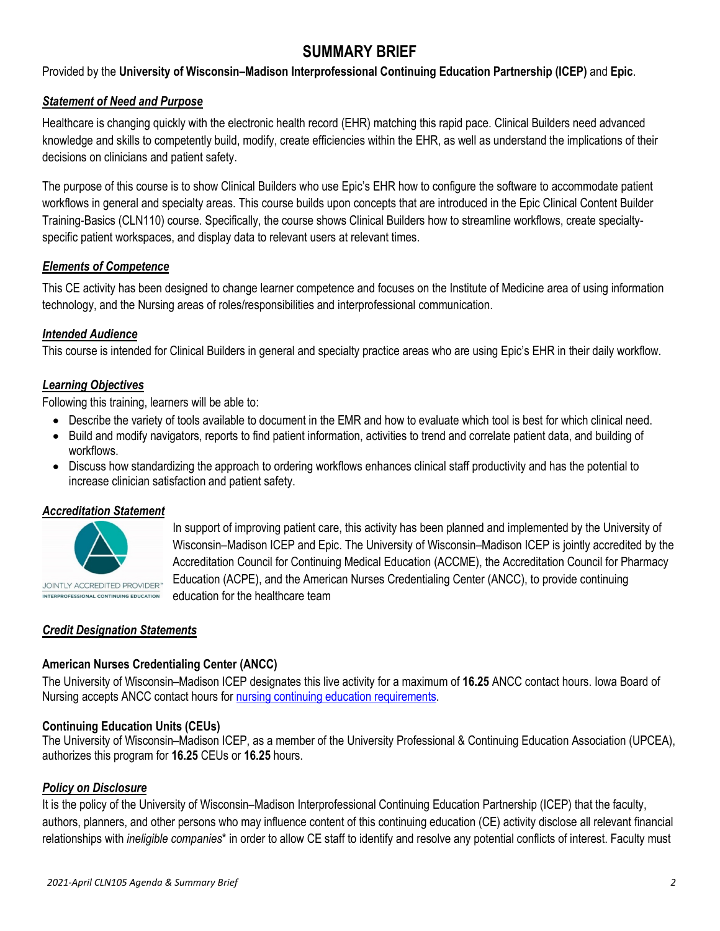# **SUMMARY BRIEF**

Provided by the **University of Wisconsin–Madison Interprofessional Continuing Education Partnership (ICEP)** and **Epic**.

# *Statement of Need and Purpose*

Healthcare is changing quickly with the electronic health record (EHR) matching this rapid pace. Clinical Builders need advanced knowledge and skills to competently build, modify, create efficiencies within the EHR, as well as understand the implications of their decisions on clinicians and patient safety.

The purpose of this course is to show Clinical Builders who use Epic's EHR how to configure the software to accommodate patient workflows in general and specialty areas. This course builds upon concepts that are introduced in the Epic Clinical Content Builder Training-Basics (CLN110) course. Specifically, the course shows Clinical Builders how to streamline workflows, create specialtyspecific patient workspaces, and display data to relevant users at relevant times.

# *Elements of Competence*

This CE activity has been designed to change learner competence and focuses on the Institute of Medicine area of using information technology, and the Nursing areas of roles/responsibilities and interprofessional communication.

# *Intended Audience*

This course is intended for Clinical Builders in general and specialty practice areas who are using Epic's EHR in their daily workflow.

# *Learning Objectives*

Following this training, learners will be able to:

- Describe the variety of tools available to document in the EMR and how to evaluate which tool is best for which clinical need.
- Build and modify navigators, reports to find patient information, activities to trend and correlate patient data, and building of workflows.
- Discuss how standardizing the approach to ordering workflows enhances clinical staff productivity and has the potential to increase clinician satisfaction and patient safety.

In support of improving patient care, this activity has been planned and implemented by the University of Wisconsin–Madison ICEP and Epic. The University of Wisconsin–Madison ICEP is jointly accredited by the Accreditation Council for Continuing Medical Education (ACCME), the Accreditation Council for Pharmacy

Education (ACPE), and the American Nurses Credentialing Center (ANCC), to provide continuing

#### *Accreditation Statement*



INTERPROFESSIONAL CONTINUING EDUCATION

#### *Credit Designation Statements*

#### **American Nurses Credentialing Center (ANCC)**

education for the healthcare team

The University of Wisconsin–Madison ICEP designates this live activity for a maximum of **16.25** ANCC contact hours. Iowa Board of Nursing accepts ANCC contact hours for [nursing continuing education requirements.](https://nursing.iowa.gov/continuing-education/continuing-ed-licensees/what-continuing-education-qualifies)

#### **Continuing Education Units (CEUs)**

The University of Wisconsin–Madison ICEP, as a member of the University Professional & Continuing Education Association (UPCEA), authorizes this program for **16.25** CEUs or **16.25** hours.

#### *Policy on Disclosure*

It is the policy of the University of Wisconsin–Madison Interprofessional Continuing Education Partnership (ICEP) that the faculty, authors, planners, and other persons who may influence content of this continuing education (CE) activity disclose all relevant financial relationships with *ineligible companies*\* in order to allow CE staff to identify and resolve any potential conflicts of interest. Faculty must